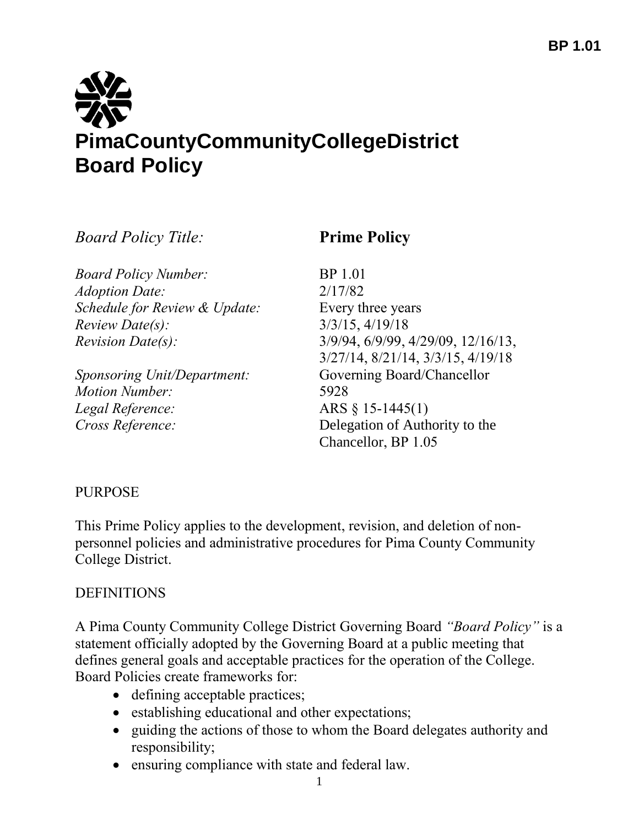

*Board Policy Title:* **Prime Policy**

*Board Policy Number:* BP 1.01 *Adoption Date:* 2/17/82 *Schedule for Review & Update:* Every three years *Review Date(s):* 3/3/15, 4/19/18

*Sponsoring Unit/Department:* Governing Board/Chancellor *Motion Number:* 5928 *Legal Reference:* ARS § 15-1445(1)

*Revision Date(s):* 3/9/94, 6/9/99, 4/29/09, 12/16/13, 3/27/14, 8/21/14, 3/3/15, 4/19/18 *Cross Reference:* Delegation of Authority to the Chancellor, BP 1.05

# PURPOSE

This Prime Policy applies to the development, revision, and deletion of nonpersonnel policies and administrative procedures for Pima County Community College District.

# **DEFINITIONS**

A Pima County Community College District Governing Board *"Board Policy"* is a statement officially adopted by the Governing Board at a public meeting that defines general goals and acceptable practices for the operation of the College. Board Policies create frameworks for:

- defining acceptable practices;
- establishing educational and other expectations;
- guiding the actions of those to whom the Board delegates authority and responsibility;
- ensuring compliance with state and federal law.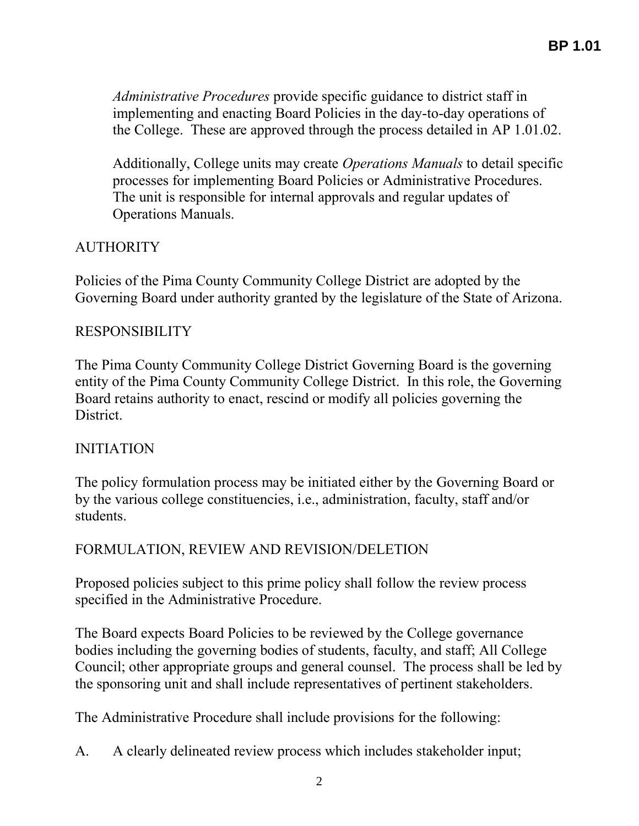*Administrative Procedures* provide specific guidance to district staff in implementing and enacting Board Policies in the day-to-day operations of the College. These are approved through the process detailed in AP 1.01.02.

Additionally, College units may create *Operations Manuals* to detail specific processes for implementing Board Policies or Administrative Procedures. The unit is responsible for internal approvals and regular updates of Operations Manuals.

# **AUTHORITY**

Policies of the Pima County Community College District are adopted by the Governing Board under authority granted by the legislature of the State of Arizona.

### RESPONSIBILITY

The Pima County Community College District Governing Board is the governing entity of the Pima County Community College District. In this role, the Governing Board retains authority to enact, rescind or modify all policies governing the **District** 

# INITIATION

The policy formulation process may be initiated either by the Governing Board or by the various college constituencies, i.e., administration, faculty, staff and/or students.

# FORMULATION, REVIEW AND REVISION/DELETION

Proposed policies subject to this prime policy shall follow the review process specified in the Administrative Procedure.

The Board expects Board Policies to be reviewed by the College governance bodies including the governing bodies of students, faculty, and staff; All College Council; other appropriate groups and general counsel. The process shall be led by the sponsoring unit and shall include representatives of pertinent stakeholders.

The Administrative Procedure shall include provisions for the following:

A. A clearly delineated review process which includes stakeholder input;